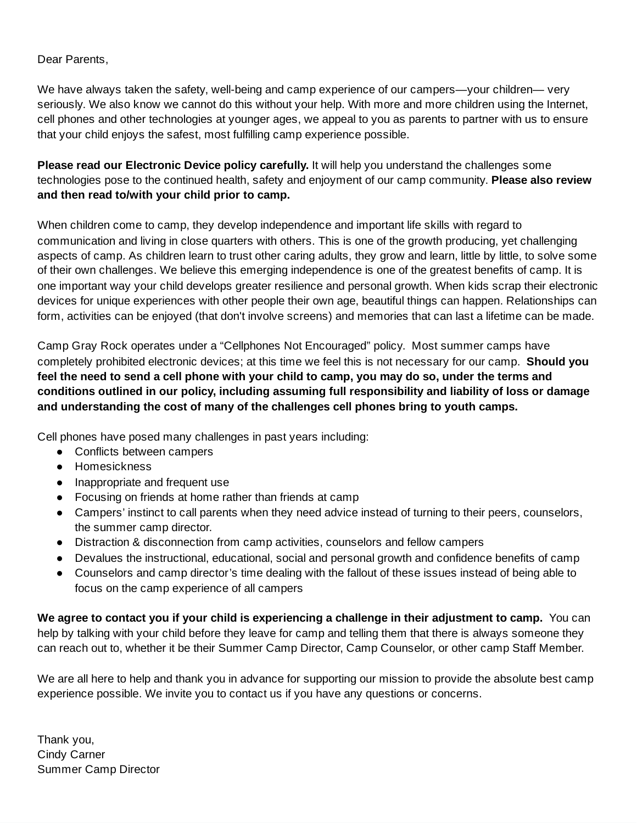## Dear Parents,

We have always taken the safety, well-being and camp experience of our campers—your children— very seriously. We also know we cannot do this without your help. With more and more children using the Internet, cell phones and other technologies at younger ages, we appeal to you as parents to partner with us to ensure that your child enjoys the safest, most fulfilling camp experience possible.

**Please read our Electronic Device policy carefully.** It will help you understand the challenges some technologies pose to the continued health, safety and enjoyment of our camp community. **Please also review and then read to/with your child prior to camp.**

When children come to camp, they develop independence and important life skills with regard to communication and living in close quarters with others. This is one of the growth producing, yet challenging aspects of camp. As children learn to trust other caring adults, they grow and learn, little by little, to solve some of their own challenges. We believe this emerging independence is one of the greatest benefits of camp. It is one important way your child develops greater resilience and personal growth. When kids scrap their electronic devices for unique experiences with other people their own age, beautiful things can happen. Relationships can form, activities can be enjoyed (that don't involve screens) and memories that can last a lifetime can be made.

Camp Gray Rock operates under a "Cellphones Not Encouraged" policy. Most summer camps have completely prohibited electronic devices; at this time we feel this is not necessary for our camp. **Should you** feel the need to send a cell phone with your child to camp, you may do so, under the terms and **conditions outlined in our policy, including assuming full responsibility and liability of loss or damage and understanding the cost of many of the challenges cell phones bring to youth camps.**

Cell phones have posed many challenges in past years including:

- Conflicts between campers
- Homesickness
- Inappropriate and frequent use
- Focusing on friends at home rather than friends at camp
- Campers' instinct to call parents when they need advice instead of turning to their peers, counselors, the summer camp director.
- Distraction & disconnection from camp activities, counselors and fellow campers
- Devalues the instructional, educational, social and personal growth and confidence benefits of camp
- Counselors and camp director's time dealing with the fallout of these issues instead of being able to focus on the camp experience of all campers

**We agree to contact you if your child is experiencing a challenge in their adjustment to camp.** You can help by talking with your child before they leave for camp and telling them that there is always someone they can reach out to, whether it be their Summer Camp Director, Camp Counselor, or other camp Staff Member.

We are all here to help and thank you in advance for supporting our mission to provide the absolute best camp experience possible. We invite you to contact us if you have any questions or concerns.

Thank you, Cindy Carner Summer Camp Director